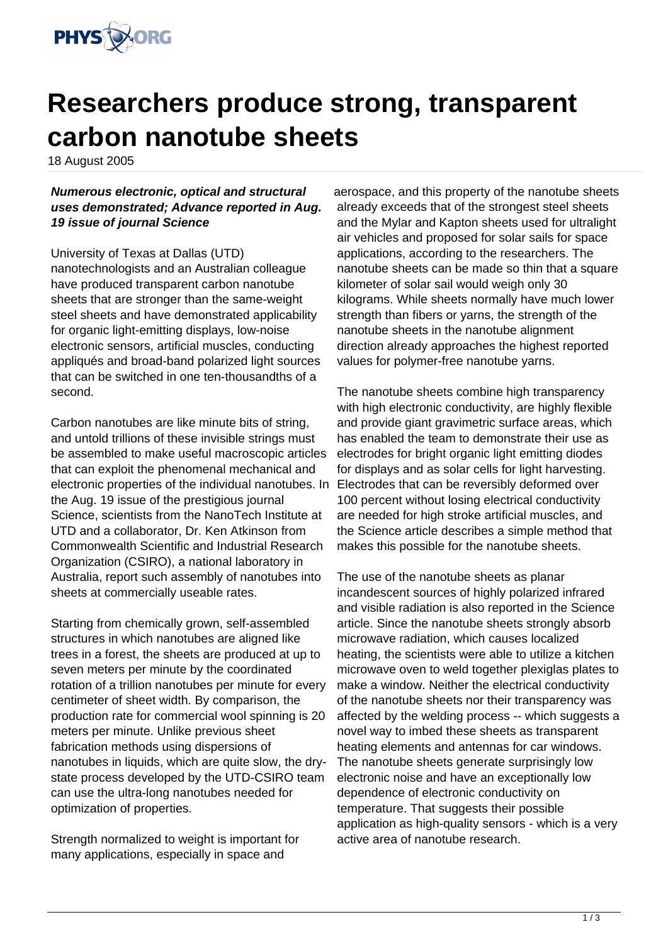

## **Researchers produce strong, transparent carbon nanotube sheets**

18 August 2005

**Numerous electronic, optical and structural uses demonstrated; Advance reported in Aug. 19 issue of journal Science**

University of Texas at Dallas (UTD) nanotechnologists and an Australian colleague have produced transparent carbon nanotube sheets that are stronger than the same-weight steel sheets and have demonstrated applicability for organic light-emitting displays, low-noise electronic sensors, artificial muscles, conducting appliqués and broad-band polarized light sources that can be switched in one ten-thousandths of a second.

Carbon nanotubes are like minute bits of string, and untold trillions of these invisible strings must be assembled to make useful macroscopic articles that can exploit the phenomenal mechanical and electronic properties of the individual nanotubes. In the Aug. 19 issue of the prestigious journal Science, scientists from the NanoTech Institute at UTD and a collaborator, Dr. Ken Atkinson from Commonwealth Scientific and Industrial Research Organization (CSIRO), a national laboratory in Australia, report such assembly of nanotubes into sheets at commercially useable rates.

Starting from chemically grown, self-assembled structures in which nanotubes are aligned like trees in a forest, the sheets are produced at up to seven meters per minute by the coordinated rotation of a trillion nanotubes per minute for every centimeter of sheet width. By comparison, the production rate for commercial wool spinning is 20 meters per minute. Unlike previous sheet fabrication methods using dispersions of nanotubes in liquids, which are quite slow, the drystate process developed by the UTD-CSIRO team can use the ultra-long nanotubes needed for optimization of properties.

Strength normalized to weight is important for many applications, especially in space and

aerospace, and this property of the nanotube sheets already exceeds that of the strongest steel sheets and the Mylar and Kapton sheets used for ultralight air vehicles and proposed for solar sails for space applications, according to the researchers. The nanotube sheets can be made so thin that a square kilometer of solar sail would weigh only 30 kilograms. While sheets normally have much lower strength than fibers or yarns, the strength of the nanotube sheets in the nanotube alignment direction already approaches the highest reported values for polymer-free nanotube yarns.

The nanotube sheets combine high transparency with high electronic conductivity, are highly flexible and provide giant gravimetric surface areas, which has enabled the team to demonstrate their use as electrodes for bright organic light emitting diodes for displays and as solar cells for light harvesting. Electrodes that can be reversibly deformed over 100 percent without losing electrical conductivity are needed for high stroke artificial muscles, and the Science article describes a simple method that makes this possible for the nanotube sheets.

The use of the nanotube sheets as planar incandescent sources of highly polarized infrared and visible radiation is also reported in the Science article. Since the nanotube sheets strongly absorb microwave radiation, which causes localized heating, the scientists were able to utilize a kitchen microwave oven to weld together plexiglas plates to make a window. Neither the electrical conductivity of the nanotube sheets nor their transparency was affected by the welding process -- which suggests a novel way to imbed these sheets as transparent heating elements and antennas for car windows. The nanotube sheets generate surprisingly low electronic noise and have an exceptionally low dependence of electronic conductivity on temperature. That suggests their possible application as high-quality sensors - which is a very active area of nanotube research.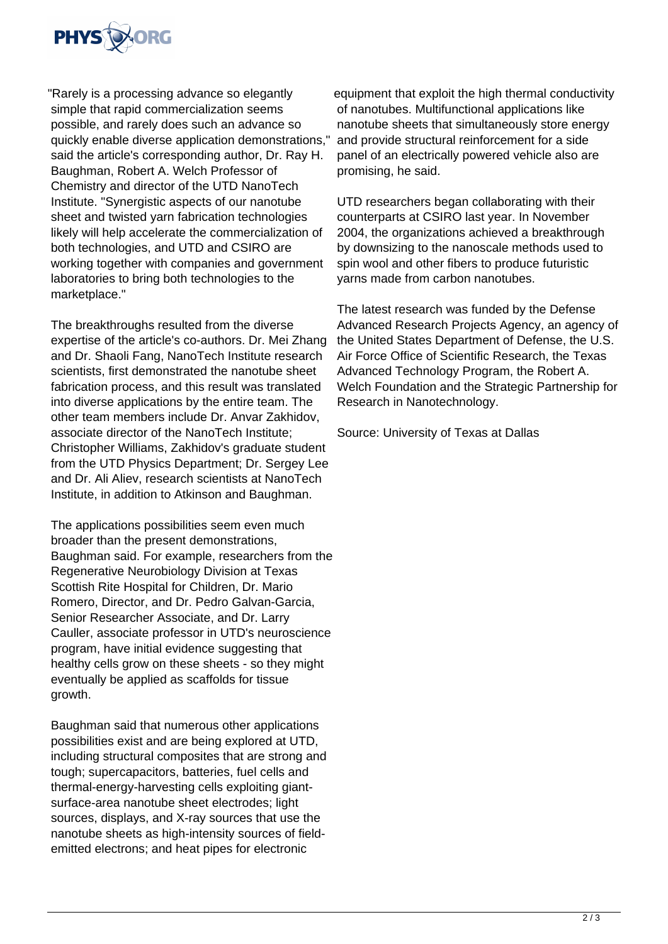

"Rarely is a processing advance so elegantly simple that rapid commercialization seems possible, and rarely does such an advance so quickly enable diverse application demonstrations," said the article's corresponding author, Dr. Ray H. Baughman, Robert A. Welch Professor of Chemistry and director of the UTD NanoTech Institute. "Synergistic aspects of our nanotube sheet and twisted yarn fabrication technologies likely will help accelerate the commercialization of both technologies, and UTD and CSIRO are working together with companies and government laboratories to bring both technologies to the marketplace."

The breakthroughs resulted from the diverse expertise of the article's co-authors. Dr. Mei Zhang and Dr. Shaoli Fang, NanoTech Institute research scientists, first demonstrated the nanotube sheet fabrication process, and this result was translated into diverse applications by the entire team. The other team members include Dr. Anvar Zakhidov, associate director of the NanoTech Institute; Christopher Williams, Zakhidov's graduate student from the UTD Physics Department; Dr. Sergey Lee and Dr. Ali Aliev, research scientists at NanoTech Institute, in addition to Atkinson and Baughman.

The applications possibilities seem even much broader than the present demonstrations, Baughman said. For example, researchers from the Regenerative Neurobiology Division at Texas Scottish Rite Hospital for Children, Dr. Mario Romero, Director, and Dr. Pedro Galvan-Garcia, Senior Researcher Associate, and Dr. Larry Cauller, associate professor in UTD's neuroscience program, have initial evidence suggesting that healthy cells grow on these sheets - so they might eventually be applied as scaffolds for tissue growth.

Baughman said that numerous other applications possibilities exist and are being explored at UTD, including structural composites that are strong and tough; supercapacitors, batteries, fuel cells and thermal-energy-harvesting cells exploiting giantsurface-area nanotube sheet electrodes; light sources, displays, and X-ray sources that use the nanotube sheets as high-intensity sources of fieldemitted electrons; and heat pipes for electronic

equipment that exploit the high thermal conductivity of nanotubes. Multifunctional applications like nanotube sheets that simultaneously store energy and provide structural reinforcement for a side panel of an electrically powered vehicle also are promising, he said.

UTD researchers began collaborating with their counterparts at CSIRO last year. In November 2004, the organizations achieved a breakthrough by downsizing to the nanoscale methods used to spin wool and other fibers to produce futuristic yarns made from carbon nanotubes.

The latest research was funded by the Defense Advanced Research Projects Agency, an agency of the United States Department of Defense, the U.S. Air Force Office of Scientific Research, the Texas Advanced Technology Program, the Robert A. Welch Foundation and the Strategic Partnership for Research in Nanotechnology.

Source: University of Texas at Dallas